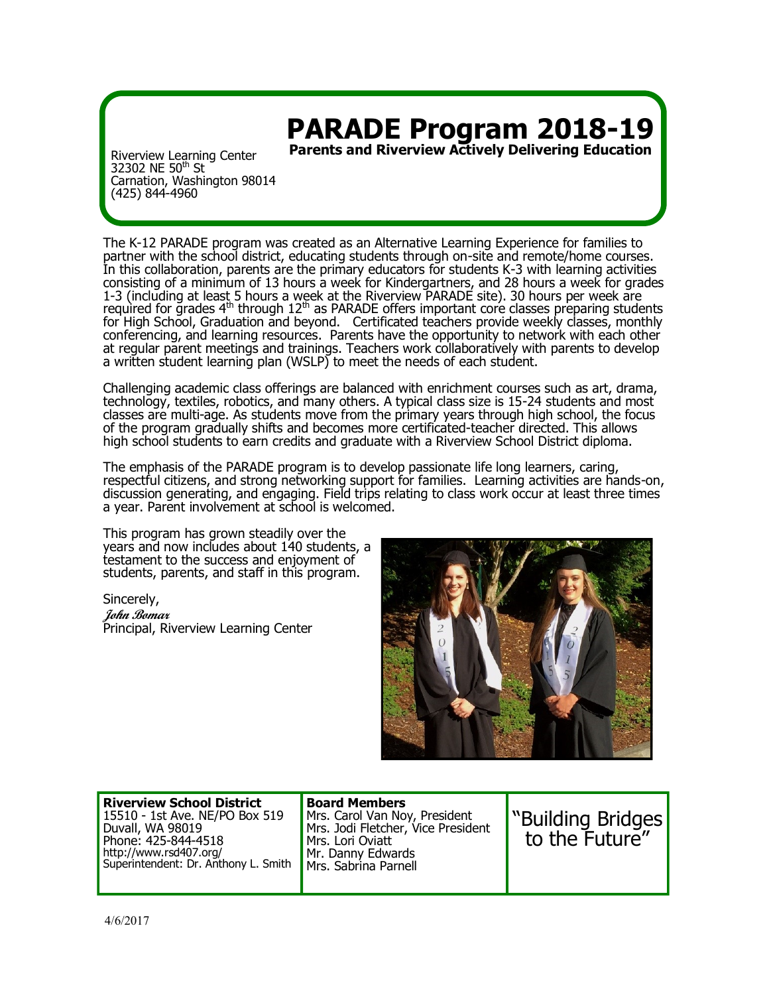## **PARADE Program 2018-19**

**Parents and Riverview Actively Delivering Education**

Riverview Learning Center 32302 NE 50<sup>th</sup> St Carnation, Washington 98014 (425) 844-4960

The K-12 PARADE program was created as an Alternative Learning Experience for families to partner with the school district, educating students through on-site and remote/home courses. In this collaboration, parents are the primary educators for students K-3 with learning activities consisting of a minimum of 13 hours a week for Kindergartners, and 28 hours a week for grades 1-3 (including at least 5 hours a week at the Riverview PARADE site). 30 hours per week are required for grades  $4<sup>th</sup>$  through  $12<sup>th</sup>$  as PARADE offers important core classes preparing students for High School, Graduation and beyond. Certificated teachers provide weekly classes, monthly conferencing, and learning resources. Parents have the opportunity to network with each other at regular parent meetings and trainings. Teachers work collaboratively with parents to develop a written student learning plan (WSLP) to meet the needs of each student.

Challenging academic class offerings are balanced with enrichment courses such as art, drama, technology, textiles, robotics, and many others. A typical class size is 15-24 students and most classes are multi-age. As students move from the primary years through high school, the focus of the program gradually shifts and becomes more certificated-teacher directed. This allows high school students to earn credits and graduate with a Riverview School District diploma.

The emphasis of the PARADE program is to develop passionate life long learners, caring, respectful citizens, and strong networking support for families. Learning activities are hands-on, discussion generating, and engaging. Field trips relating to class work occur at least three times a year. Parent involvement at school is welcomed.

This program has grown steadily over the years and now includes about 140 students, a testament to the success and enjoyment of students, parents, and staff in this program.

Sincerely, **John Bomar** Principal, Riverview Learning Center



| <b>Riverview School District</b>     |
|--------------------------------------|
| 15510 - 1st Ave. NE/PO Box 519       |
| Duvall, WA 98019                     |
| Phone: 425-844-4518                  |
| http://www.rsd407.org/               |
| Superintendent: Dr. Anthony L. Smith |

**Board Members** Mrs. Carol Van Noy, President Mrs. Jodi Fletcher, Vice President Mrs. Lori Oviatt Mr. Danny Edwards Mrs. Sabrina Parnell

"Building Bridges to the Future"